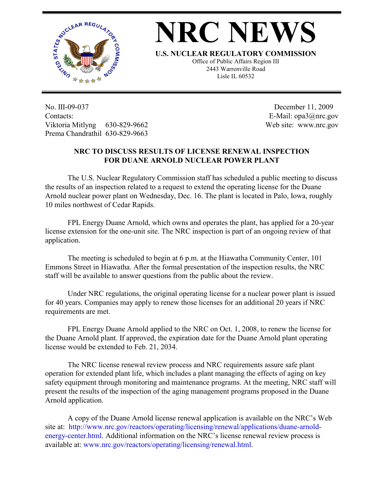

## **NRC NEW**

**U.S. NUCLEAR REGULATORY COMMISSION**

Office of Public Affairs Region III 2443 Warrenville Road Lisle IL 60532

No. III-09-037 Contacts: Viktoria Mitlyng 630-829-9662 Prema Chandrathil 630-829-9663

 December 11, 2009 E-Mail: opa3@nrc.gov Web site: www.nrc.gov

## **NRC TO DISCUSS RESULTS OF LICENSE RENEWAL INSPECTION FOR DUANE ARNOLD NUCLEAR POWER PLANT**

The U.S. Nuclear Regulatory Commission staff has scheduled a public meeting to discuss the results of an inspection related to a request to extend the operating license for the Duane Arnold nuclear power plant on Wednesday, Dec. 16. The plant is located in Palo, Iowa, roughly 10 miles northwest of Cedar Rapids.

FPL Energy Duane Arnold, which owns and operates the plant, has applied for a 20-year license extension for the one-unit site. The NRC inspection is part of an ongoing review of that application.

The meeting is scheduled to begin at 6 p.m. at the Hiawatha Community Center, 101 Emmons Street in Hiawatha. After the formal presentation of the inspection results, the NRC staff will be available to answer questions from the public about the review.

Under NRC regulations, the original operating license for a nuclear power plant is issued for 40 years. Companies may apply to renew those licenses for an additional 20 years if NRC requirements are met.

FPL Energy Duane Arnold applied to the NRC on Oct. 1, 2008, to renew the license for the Duane Arnold plant. If approved, the expiration date for the Duane Arnold plant operating license would be extended to Feb. 21, 2034.

The NRC license renewal review process and NRC requirements assure safe plant operation for extended plant life, which includes a plant managing the effects of aging on key safety equipment through monitoring and maintenance programs. At the meeting, NRC staff will present the results of the inspection of the aging management programs proposed in the Duane Arnold application.

A copy of the Duane Arnold license renewal application is available on the NRC's Web site at: http://www.nrc.gov/reactors/operating/licensing/renewal/applications/duane-arnoldenergy-center.html. Additional information on the NRC's license renewal review process is available at: www.nrc.gov/reactors/operating/licensing/renewal.html.